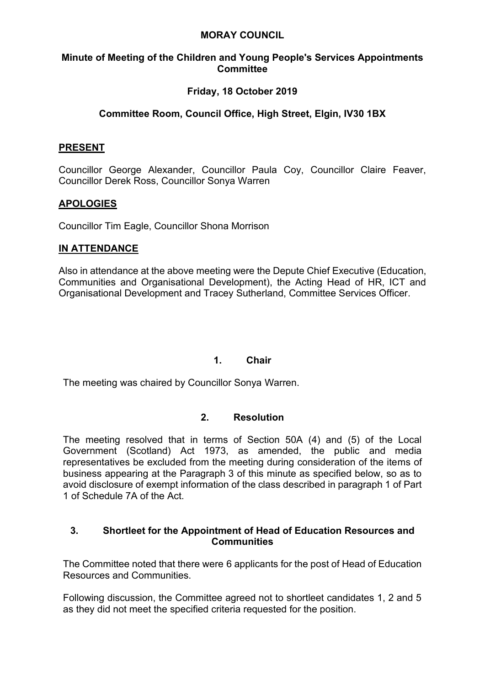#### **MORAY COUNCIL**

### **Minute of Meeting of the Children and Young People's Services Appointments Committee**

## **Friday, 18 October 2019**

# **Committee Room, Council Office, High Street, Elgin, IV30 1BX**

### **PRESENT**

Councillor George Alexander, Councillor Paula Coy, Councillor Claire Feaver, Councillor Derek Ross, Councillor Sonya Warren

## **APOLOGIES**

Councillor Tim Eagle, Councillor Shona Morrison

### **IN ATTENDANCE**

Also in attendance at the above meeting were the Depute Chief Executive (Education, Communities and Organisational Development), the Acting Head of HR, ICT and Organisational Development and Tracey Sutherland, Committee Services Officer.

### **1. Chair**

The meeting was chaired by Councillor Sonya Warren.

### **2. Resolution**

The meeting resolved that in terms of Section 50A (4) and (5) of the Local Government (Scotland) Act 1973, as amended, the public and media representatives be excluded from the meeting during consideration of the items of business appearing at the Paragraph 3 of this minute as specified below, so as to avoid disclosure of exempt information of the class described in paragraph 1 of Part 1 of Schedule 7A of the Act.

### **3. Shortleet for the Appointment of Head of Education Resources and Communities**

The Committee noted that there were 6 applicants for the post of Head of Education Resources and Communities.

Following discussion, the Committee agreed not to shortleet candidates 1, 2 and 5 as they did not meet the specified criteria requested for the position.